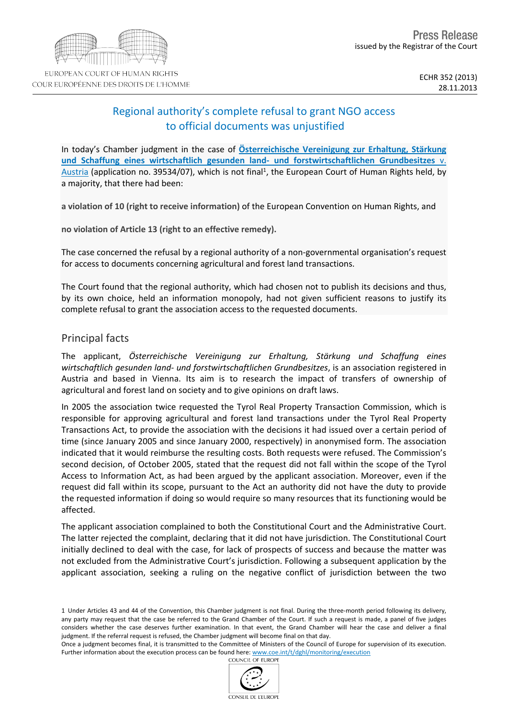# Regional authority's complete refusal to grant NGO access to official documents was unjustified

In today's Chamber judgment in the case of **[Österreichische](http://hudoc.echr.coe.int/sites/eng/pages/search.aspx?i=001-139084) [Vereinigung](http://hudoc.echr.coe.int/sites/eng/pages/search.aspx?i=001-139084) [zur](http://hudoc.echr.coe.int/sites/eng/pages/search.aspx?i=001-139084) [Erhaltung,](http://hudoc.echr.coe.int/sites/eng/pages/search.aspx?i=001-139084) [Stärkung](http://hudoc.echr.coe.int/sites/eng/pages/search.aspx?i=001-139084) [und](http://hudoc.echr.coe.int/sites/eng/pages/search.aspx?i=001-139084) [Schaffung](http://hudoc.echr.coe.int/sites/eng/pages/search.aspx?i=001-139084) [eines](http://hudoc.echr.coe.int/sites/eng/pages/search.aspx?i=001-139084) [wirtschaftlich](http://hudoc.echr.coe.int/sites/eng/pages/search.aspx?i=001-139084) [gesunden](http://hudoc.echr.coe.int/sites/eng/pages/search.aspx?i=001-139084) [land-](http://hudoc.echr.coe.int/sites/eng/pages/search.aspx?i=001-139084) [und](http://hudoc.echr.coe.int/sites/eng/pages/search.aspx?i=001-139084) [forstwirtschaftlichen](http://hudoc.echr.coe.int/sites/eng/pages/search.aspx?i=001-139084) [Grundbesitzes](http://hudoc.echr.coe.int/sites/eng/pages/search.aspx?i=001-139084)** [v.](http://hudoc.echr.coe.int/sites/eng/pages/search.aspx?i=001-139084) [Austria](http://hudoc.echr.coe.int/sites/eng/pages/search.aspx?i=001-139084) (application no. 39534/07), which is not final<sup>1</sup>, the European Court of Human Rights held, by a majority, that there had been:

**a violation of 10 (right to receive information)** of the European Convention on Human Rights, and

**no violation of Article 13 (right to an effective remedy).**

The case concerned the refusal by a regional authority of a non-governmental organisation's request for access to documents concerning agricultural and forest land transactions.

The Court found that the regional authority, which had chosen not to publish its decisions and thus, by its own choice, held an information monopoly, had not given sufficient reasons to justify its complete refusal to grant the association access to the requested documents.

## Principal facts

The applicant, *Österreichische Vereinigung zur Erhaltung, Stärkung und Schaffung eines wirtschaftlich gesunden land- und forstwirtschaftlichen Grundbesitzes*, is an association registered in Austria and based in Vienna. Its aim is to research the impact of transfers of ownership of agricultural and forest land on society and to give opinions on draft laws.

In 2005 the association twice requested the Tyrol Real Property Transaction Commission, which is responsible for approving agricultural and forest land transactions under the Tyrol Real Property Transactions Act, to provide the association with the decisions it had issued over a certain period of time (since January 2005 and since January 2000, respectively) in anonymised form. The association indicated that it would reimburse the resulting costs. Both requests were refused. The Commission's second decision, of October 2005, stated that the request did not fall within the scope of the Tyrol Access to Information Act, as had been argued by the applicant association. Moreover, even if the request did fall within its scope, pursuant to the Act an authority did not have the duty to provide the requested information if doing so would require so many resources that its functioning would be affected.

The applicant association complained to both the Constitutional Court and the Administrative Court. The latter rejected the complaint, declaring that it did not have jurisdiction. The Constitutional Court initially declined to deal with the case, for lack of prospects of success and because the matter was not excluded from the Administrative Court's jurisdiction. Following a subsequent application by the applicant association, seeking a ruling on the negative conflict of jurisdiction between the two

Once a judgment becomes final, it is transmitted to the Committee of Ministers of the Council of Europe for supervision of its execution. Further information about the execution process can be found here: [www.coe.int/t/dghl/monitoring/execution](http://www.coe.int/t/dghl/monitoring/execution) COLINCIL OF EUROPE



<sup>1</sup> Under Articles 43 and 44 of the Convention, this Chamber judgment is not final. During the three-month period following its delivery, any party may request that the case be referred to the Grand Chamber of the Court. If such a request is made, a panel of five judges considers whether the case deserves further examination. In that event, the Grand Chamber will hear the case and deliver a final judgment. If the referral request is refused, the Chamber judgment will become final on that day.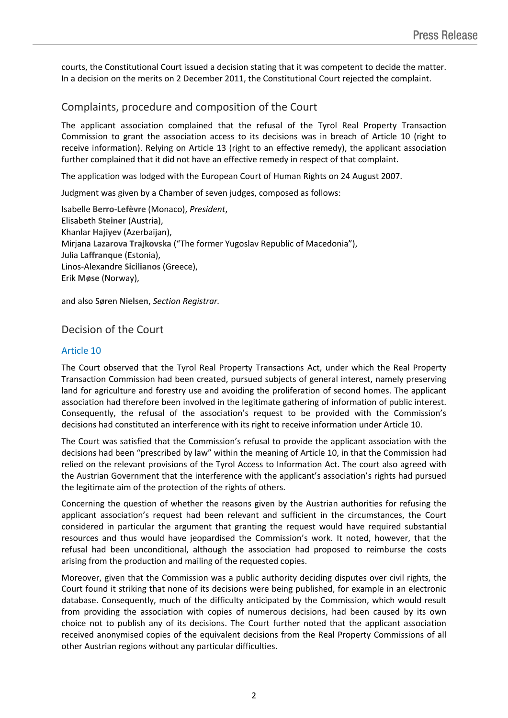courts, the Constitutional Court issued a decision stating that it was competent to decide the matter. In a decision on the merits on 2 December 2011, the Constitutional Court rejected the complaint.

# Complaints, procedure and composition of the Court

The applicant association complained that the refusal of the Tyrol Real Property Transaction Commission to grant the association access to its decisions was in breach of Article 10 (right to receive information). Relying on Article 13 (right to an effective remedy), the applicant association further complained that it did not have an effective remedy in respect of that complaint.

The application was lodged with the European Court of Human Rights on 24 August 2007.

Judgment was given by a Chamber of seven judges, composed as follows:

Isabelle **Berro-Lefèvre** (Monaco), *President*, Elisabeth **Steiner** (Austria), Khanlar **Hajiyev** (Azerbaijan), Mirjana **Lazarova Trajkovska** ("The former Yugoslav Republic of Macedonia"), Julia **Laffranque** (Estonia), Linos-Alexandre **Sicilianos** (Greece), Erik **Møse** (Norway),

and also Søren **Nielsen**, *Section Registrar.*

## Decision of the Court

#### Article 10

The Court observed that the Tyrol Real Property Transactions Act, under which the Real Property Transaction Commission had been created, pursued subjects of general interest, namely preserving land for agriculture and forestry use and avoiding the proliferation of second homes. The applicant association had therefore been involved in the legitimate gathering of information of public interest. Consequently, the refusal of the association's request to be provided with the Commission's decisions had constituted an interference with its right to receive information under Article 10.

The Court was satisfied that the Commission's refusal to provide the applicant association with the decisions had been "prescribed by law" within the meaning of Article 10, in that the Commission had relied on the relevant provisions of the Tyrol Access to Information Act. The court also agreed with the Austrian Government that the interference with the applicant's association's rights had pursued the legitimate aim of the protection of the rights of others.

Concerning the question of whether the reasons given by the Austrian authorities for refusing the applicant association's request had been relevant and sufficient in the circumstances, the Court considered in particular the argument that granting the request would have required substantial resources and thus would have jeopardised the Commission's work. It noted, however, that the refusal had been unconditional, although the association had proposed to reimburse the costs arising from the production and mailing of the requested copies.

Moreover, given that the Commission was a public authority deciding disputes over civil rights, the Court found it striking that none of its decisions were being published, for example in an electronic database. Consequently, much of the difficulty anticipated by the Commission, which would result from providing the association with copies of numerous decisions, had been caused by its own choice not to publish any of its decisions. The Court further noted that the applicant association received anonymised copies of the equivalent decisions from the Real Property Commissions of all other Austrian regions without any particular difficulties.